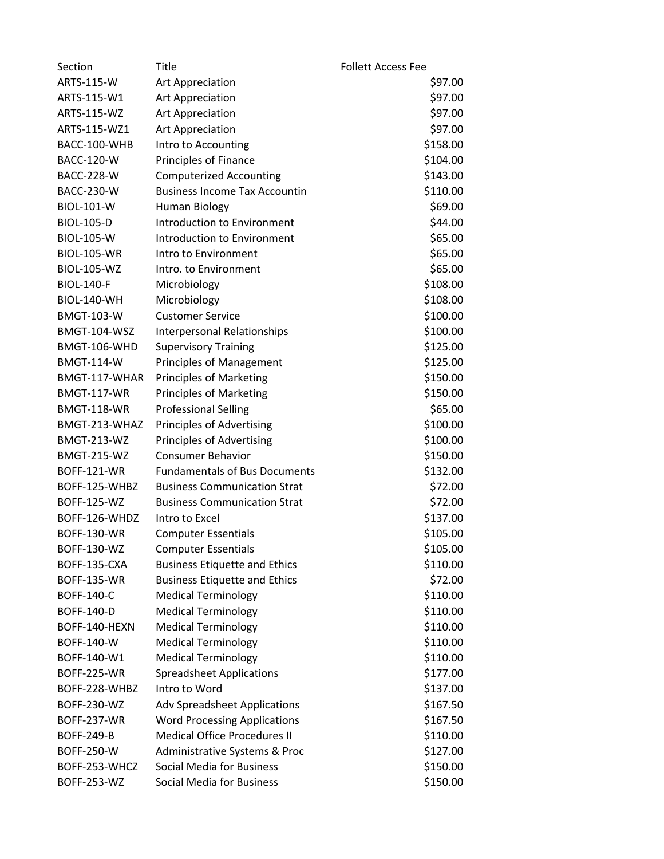| Section             | Title                                | <b>Follett Access Fee</b> |  |
|---------------------|--------------------------------------|---------------------------|--|
| ARTS-115-W          | <b>Art Appreciation</b>              | \$97.00                   |  |
| ARTS-115-W1         | <b>Art Appreciation</b>              | \$97.00                   |  |
| ARTS-115-WZ         | Art Appreciation                     | \$97.00                   |  |
| ARTS-115-WZ1        | Art Appreciation                     | \$97.00                   |  |
| BACC-100-WHB        | Intro to Accounting                  | \$158.00                  |  |
| <b>BACC-120-W</b>   | Principles of Finance                | \$104.00                  |  |
| <b>BACC-228-W</b>   | <b>Computerized Accounting</b>       | \$143.00                  |  |
| <b>BACC-230-W</b>   | <b>Business Income Tax Accountin</b> | \$110.00                  |  |
| <b>BIOL-101-W</b>   | Human Biology                        | \$69.00                   |  |
| <b>BIOL-105-D</b>   | <b>Introduction to Environment</b>   | \$44.00                   |  |
| <b>BIOL-105-W</b>   | <b>Introduction to Environment</b>   | \$65.00                   |  |
| <b>BIOL-105-WR</b>  | Intro to Environment                 | \$65.00                   |  |
| <b>BIOL-105-WZ</b>  | Intro. to Environment                | \$65.00                   |  |
| <b>BIOL-140-F</b>   | Microbiology                         | \$108.00                  |  |
| <b>BIOL-140-WH</b>  | Microbiology                         | \$108.00                  |  |
| <b>BMGT-103-W</b>   | <b>Customer Service</b>              | \$100.00                  |  |
| <b>BMGT-104-WSZ</b> | <b>Interpersonal Relationships</b>   | \$100.00                  |  |
| BMGT-106-WHD        | <b>Supervisory Training</b>          | \$125.00                  |  |
| <b>BMGT-114-W</b>   | <b>Principles of Management</b>      | \$125.00                  |  |
| BMGT-117-WHAR       | <b>Principles of Marketing</b>       | \$150.00                  |  |
| <b>BMGT-117-WR</b>  | <b>Principles of Marketing</b>       | \$150.00                  |  |
| <b>BMGT-118-WR</b>  | <b>Professional Selling</b>          | \$65.00                   |  |
| BMGT-213-WHAZ       | <b>Principles of Advertising</b>     | \$100.00                  |  |
| <b>BMGT-213-WZ</b>  | Principles of Advertising            | \$100.00                  |  |
| <b>BMGT-215-WZ</b>  | <b>Consumer Behavior</b>             | \$150.00                  |  |
| <b>BOFF-121-WR</b>  | <b>Fundamentals of Bus Documents</b> | \$132.00                  |  |
| BOFF-125-WHBZ       | <b>Business Communication Strat</b>  | \$72.00                   |  |
| <b>BOFF-125-WZ</b>  | <b>Business Communication Strat</b>  | \$72.00                   |  |
| BOFF-126-WHDZ       | Intro to Excel                       | \$137.00                  |  |
| <b>BOFF-130-WR</b>  | <b>Computer Essentials</b>           | \$105.00                  |  |
| BOFF-130-WZ         | <b>Computer Essentials</b>           | \$105.00                  |  |
| BOFF-135-CXA        | <b>Business Etiquette and Ethics</b> | \$110.00                  |  |
| <b>BOFF-135-WR</b>  | <b>Business Etiquette and Ethics</b> | \$72.00                   |  |
| <b>BOFF-140-C</b>   | <b>Medical Terminology</b>           | \$110.00                  |  |
| <b>BOFF-140-D</b>   | <b>Medical Terminology</b>           | \$110.00                  |  |
| BOFF-140-HEXN       | <b>Medical Terminology</b>           | \$110.00                  |  |
| BOFF-140-W          | <b>Medical Terminology</b>           | \$110.00                  |  |
| BOFF-140-W1         | <b>Medical Terminology</b>           | \$110.00                  |  |
| <b>BOFF-225-WR</b>  | <b>Spreadsheet Applications</b>      | \$177.00                  |  |
| BOFF-228-WHBZ       | Intro to Word                        | \$137.00                  |  |
| <b>BOFF-230-WZ</b>  | <b>Adv Spreadsheet Applications</b>  | \$167.50                  |  |
| <b>BOFF-237-WR</b>  | <b>Word Processing Applications</b>  | \$167.50                  |  |
| <b>BOFF-249-B</b>   | <b>Medical Office Procedures II</b>  | \$110.00                  |  |
| <b>BOFF-250-W</b>   | Administrative Systems & Proc        | \$127.00                  |  |
| BOFF-253-WHCZ       | <b>Social Media for Business</b>     | \$150.00                  |  |
| <b>BOFF-253-WZ</b>  | Social Media for Business            | \$150.00                  |  |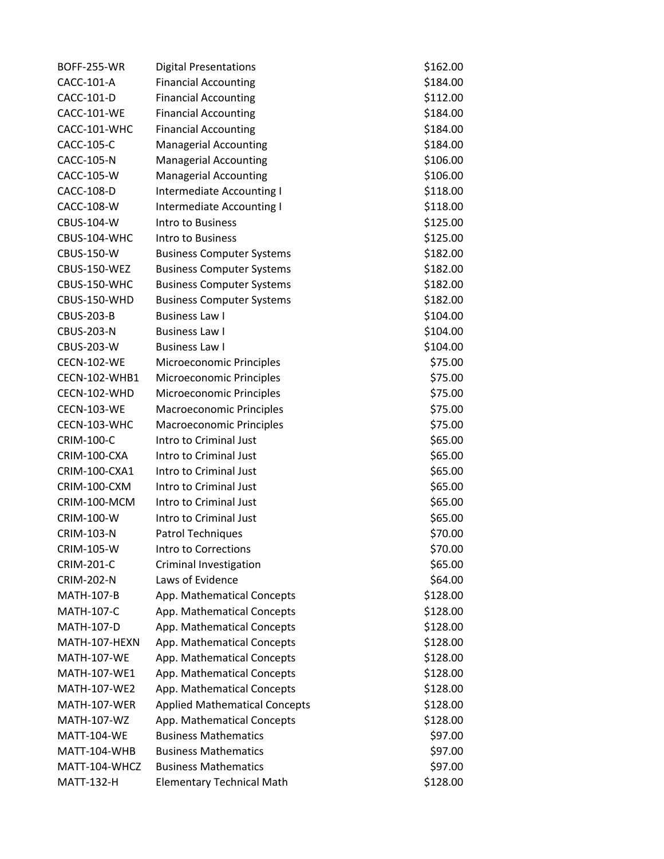| <b>BOFF-255-WR</b>  | <b>Digital Presentations</b>         | \$162.00 |
|---------------------|--------------------------------------|----------|
| CACC-101-A          | <b>Financial Accounting</b>          | \$184.00 |
| CACC-101-D          | <b>Financial Accounting</b>          | \$112.00 |
| CACC-101-WE         | <b>Financial Accounting</b>          | \$184.00 |
| CACC-101-WHC        | <b>Financial Accounting</b>          | \$184.00 |
| CACC-105-C          | <b>Managerial Accounting</b>         | \$184.00 |
| <b>CACC-105-N</b>   | <b>Managerial Accounting</b>         | \$106.00 |
| CACC-105-W          | <b>Managerial Accounting</b>         | \$106.00 |
| CACC-108-D          | Intermediate Accounting I            | \$118.00 |
| CACC-108-W          | Intermediate Accounting I            | \$118.00 |
| CBUS-104-W          | Intro to Business                    | \$125.00 |
| CBUS-104-WHC        | Intro to Business                    | \$125.00 |
| CBUS-150-W          | <b>Business Computer Systems</b>     | \$182.00 |
| <b>CBUS-150-WEZ</b> | <b>Business Computer Systems</b>     | \$182.00 |
| CBUS-150-WHC        | <b>Business Computer Systems</b>     | \$182.00 |
| CBUS-150-WHD        | <b>Business Computer Systems</b>     | \$182.00 |
| <b>CBUS-203-B</b>   | <b>Business Law I</b>                | \$104.00 |
| <b>CBUS-203-N</b>   | <b>Business Law I</b>                | \$104.00 |
| <b>CBUS-203-W</b>   | <b>Business Law I</b>                | \$104.00 |
| <b>CECN-102-WE</b>  | Microeconomic Principles             | \$75.00  |
| CECN-102-WHB1       | Microeconomic Principles             | \$75.00  |
| CECN-102-WHD        | Microeconomic Principles             | \$75.00  |
| <b>CECN-103-WE</b>  | <b>Macroeconomic Principles</b>      | \$75.00  |
| CECN-103-WHC        | <b>Macroeconomic Principles</b>      | \$75.00  |
| <b>CRIM-100-C</b>   | Intro to Criminal Just               | \$65.00  |
| CRIM-100-CXA        | Intro to Criminal Just               | \$65.00  |
| CRIM-100-CXA1       | Intro to Criminal Just               | \$65.00  |
| CRIM-100-CXM        | Intro to Criminal Just               | \$65.00  |
| CRIM-100-MCM        | Intro to Criminal Just               | \$65.00  |
| CRIM-100-W          | Intro to Criminal Just               | \$65.00  |
| <b>CRIM-103-N</b>   | Patrol Techniques                    | \$70.00  |
| <b>CRIM-105-W</b>   | Intro to Corrections                 | \$70.00  |
| <b>CRIM-201-C</b>   | Criminal Investigation               | \$65.00  |
| <b>CRIM-202-N</b>   | Laws of Evidence                     | \$64.00  |
| <b>MATH-107-B</b>   | App. Mathematical Concepts           | \$128.00 |
| <b>MATH-107-C</b>   | App. Mathematical Concepts           | \$128.00 |
| <b>MATH-107-D</b>   | App. Mathematical Concepts           | \$128.00 |
| MATH-107-HEXN       | App. Mathematical Concepts           | \$128.00 |
| <b>MATH-107-WE</b>  | App. Mathematical Concepts           | \$128.00 |
| MATH-107-WE1        | App. Mathematical Concepts           | \$128.00 |
| MATH-107-WE2        | App. Mathematical Concepts           | \$128.00 |
| MATH-107-WER        | <b>Applied Mathematical Concepts</b> | \$128.00 |
| MATH-107-WZ         | App. Mathematical Concepts           | \$128.00 |
| <b>MATT-104-WE</b>  | <b>Business Mathematics</b>          | \$97.00  |
| MATT-104-WHB        | <b>Business Mathematics</b>          | \$97.00  |
| MATT-104-WHCZ       | <b>Business Mathematics</b>          | \$97.00  |
| <b>MATT-132-H</b>   | <b>Elementary Technical Math</b>     | \$128.00 |